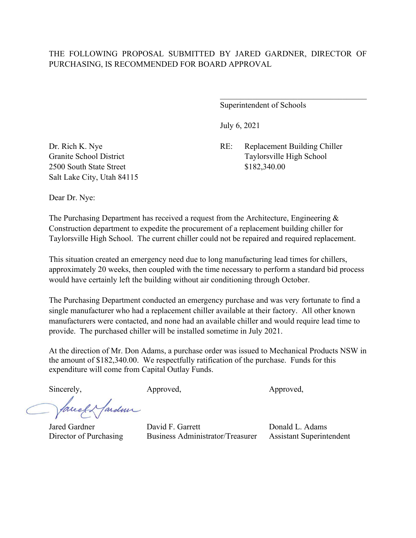Superintendent of Schools

July 6, 2021

Dr. Rich K. Nye RE: Replacement Building Chiller Granite School District Taylorsville High School

2500 South State Street \$182,340.00 Salt Lake City, Utah 84115

Dear Dr. Nye:

The Purchasing Department has received a request from the Architecture, Engineering & Construction department to expedite the procurement of a replacement building chiller for Taylorsville High School. The current chiller could not be repaired and required replacement.

This situation created an emergency need due to long manufacturing lead times for chillers, approximately 20 weeks, then coupled with the time necessary to perform a standard bid process would have certainly left the building without air conditioning through October.

The Purchasing Department conducted an emergency purchase and was very fortunate to find a single manufacturer who had a replacement chiller available at their factory. All other known manufacturers were contacted, and none had an available chiller and would require lead time to provide. The purchased chiller will be installed sometime in July 2021.

At the direction of Mr. Don Adams, a purchase order was issued to Mechanical Products NSW in the amount of \$182,340.00. We respectfully ratification of the purchase. Funds for this expenditure will come from Capital Outlay Funds.

Sincerely, Approved, Approved, Approved, Approved,

fareef & fardun

Jared Gardner David F. Garrett Donald L. Adams Director of Purchasing Business Administrator/Treasurer Assistant Superintendent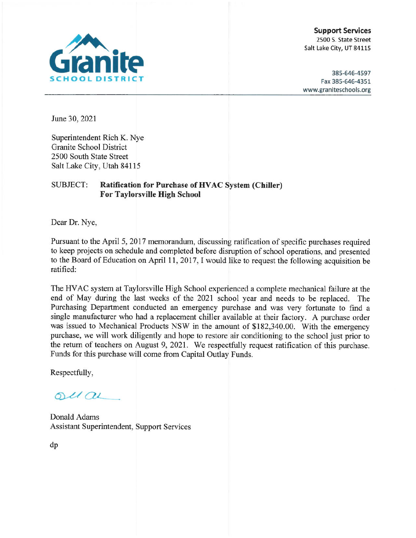

**Support Services** 2500 S. State Street Salt Lake City, UT 84115

385-646-4597 Fax 385-646-4351 www.graniteschools.org

June 30, 2021

Superintendent Rich K. Nye **Granite School District** 2500 South State Street Salt Lake City, Utah 84115

#### **SUBJECT: Ratification for Purchase of HVAC System (Chiller) For Taylorsville High School**

Dear Dr. Nye,

Pursuant to the April 5, 2017 memorandum, discussing ratification of specific purchases required to keep projects on schedule and completed before disruption of school operations, and presented to the Board of Education on April 11, 2017, I would like to request the following acquisition be ratified:

The HVAC system at Taylorsville High School experienced a complete mechanical failure at the end of May during the last weeks of the 2021 school year and needs to be replaced. The Purchasing Department conducted an emergency purchase and was very fortunate to find a single manufacturer who had a replacement chiller available at their factory. A purchase order was issued to Mechanical Products NSW in the amount of \$182,340.00. With the emergency purchase, we will work diligently and hope to restore air conditioning to the school just prior to the return of teachers on August 9, 2021. We respectfully request ratification of this purchase. Funds for this purchase will come from Capital Outlay Funds.

Respectfully,

 $ol(au)$ 

Donald Adams Assistant Superintendent, Support Services

dp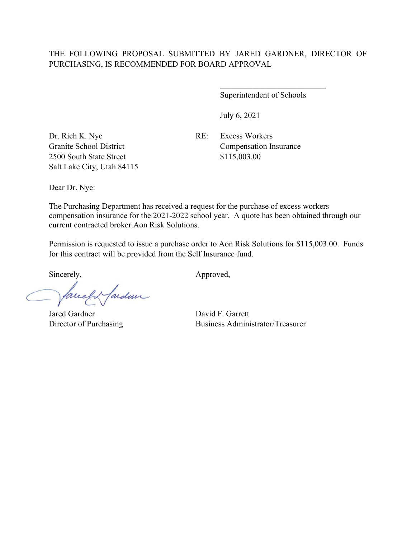#### THE FOLLOWING PROPOSAL SUBMITTED BY JARED GARDNER, DIRECTOR OF PURCHASING, IS RECOMMENDED FOR BOARD APPROVAL

Superintendent of Schools

\_\_\_\_\_\_\_\_\_\_\_\_\_\_\_\_\_\_\_\_\_\_\_\_\_\_

July 6, 2021

Dr. Rich K. Nye RE: Excess Workers 2500 South State Street \$115,003.00 Salt Lake City, Utah 84115

Granite School District Compensation Insurance

Dear Dr. Nye:

The Purchasing Department has received a request for the purchase of excess workers compensation insurance for the 2021-2022 school year. A quote has been obtained through our current contracted broker Aon Risk Solutions.

Permission is requested to issue a purchase order to Aon Risk Solutions for \$115,003.00. Funds for this contract will be provided from the Self Insurance fund.

Sincerely, Approved,

facely farden

Jared Gardner David F. Garrett

Director of Purchasing Business Administrator/Treasurer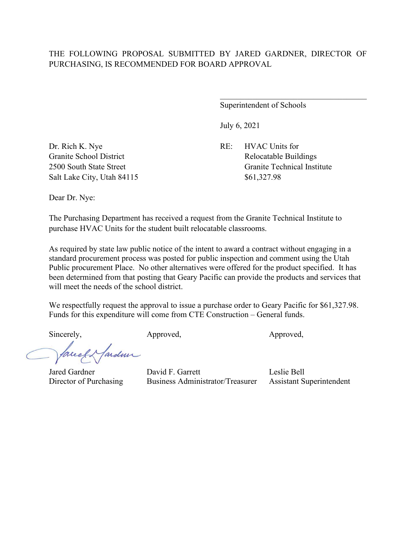Superintendent of Schools

July 6, 2021

Granite School District Relocatable Buildings 2500 South State Street Granite Technical Institute

Dr. Rich K. Nye RE: HVAC Units for Salt Lake City, Utah 84115 \$61,327.98

Dear Dr. Nye:

The Purchasing Department has received a request from the Granite Technical Institute to purchase HVAC Units for the student built relocatable classrooms.

As required by state law public notice of the intent to award a contract without engaging in a standard procurement process was posted for public inspection and comment using the Utah Public procurement Place. No other alternatives were offered for the product specified. It has been determined from that posting that Geary Pacific can provide the products and services that will meet the needs of the school district.

We respectfully request the approval to issue a purchase order to Geary Pacific for \$61,327.98. Funds for this expenditure will come from CTE Construction – General funds.

Sincerely, Approved, Approved, Approved,

facely fardeur

Jared Gardner David F. Garrett Leslie Bell Director of Purchasing Business Administrator/Treasurer Assistant Superintendent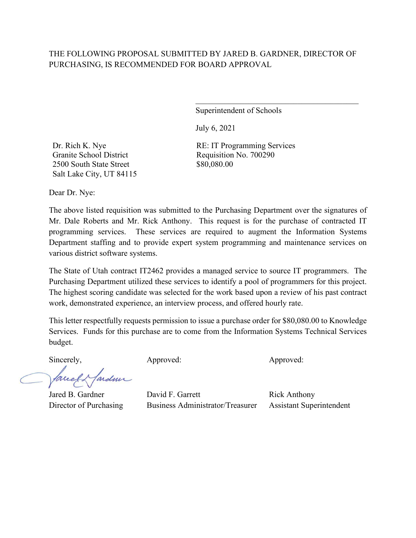## THE FOLLOWING PROPOSAL SUBMITTED BY JARED B. GARDNER, DIRECTOR OF PURCHASING, IS RECOMMENDED FOR BOARD APPROVAL

Superintendent of Schools

 $\mathcal{L}_\mathcal{L}$  , which is a set of the set of the set of the set of the set of the set of the set of the set of the set of the set of the set of the set of the set of the set of the set of the set of the set of the set of

July 6, 2021

Dr. Rich K. Nye Granite School District 2500 South State Street Salt Lake City, UT 84115 RE: IT Programming Services Requisition No. 700290 \$80,080.00

Dear Dr. Nye:

The above listed requisition was submitted to the Purchasing Department over the signatures of Mr. Dale Roberts and Mr. Rick Anthony. This request is for the purchase of contracted IT programming services. These services are required to augment the Information Systems Department staffing and to provide expert system programming and maintenance services on various district software systems.

The State of Utah contract IT2462 provides a managed service to source IT programmers. The Purchasing Department utilized these services to identify a pool of programmers for this project. The highest scoring candidate was selected for the work based upon a review of his past contract work, demonstrated experience, an interview process, and offered hourly rate.

This letter respectfully requests permission to issue a purchase order for \$80,080.00 to Knowledge Services. Funds for this purchase are to come from the Information Systems Technical Services budget.

ardmir facel.

Sincerely, Approved: Approved: Approved: Approved:

Jared B. Gardner David F. Garrett Rick Anthony Director of Purchasing Business Administrator/Treasurer Assistant Superintendent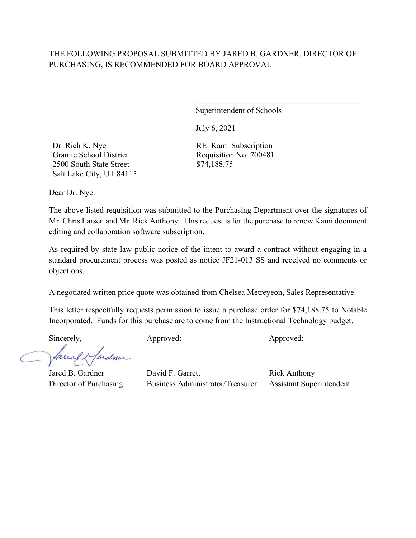# THE FOLLOWING PROPOSAL SUBMITTED BY JARED B. GARDNER, DIRECTOR OF PURCHASING, IS RECOMMENDED FOR BOARD APPROVAL

Superintendent of Schools

 $\mathcal{L}_\mathcal{L}$  , which is a set of the set of the set of the set of the set of the set of the set of the set of the set of the set of the set of the set of the set of the set of the set of the set of the set of the set of

July 6, 2021

Dr. Rich K. Nye Granite School District 2500 South State Street Salt Lake City, UT 84115 RE: Kami Subscription Requisition No. 700481 \$74,188.75

Dear Dr. Nye:

The above listed requisition was submitted to the Purchasing Department over the signatures of Mr. Chris Larsen and Mr. Rick Anthony. This request is for the purchase to renew Kami document editing and collaboration software subscription.

As required by state law public notice of the intent to award a contract without engaging in a standard procurement process was posted as notice JF21-013 SS and received no comments or objections.

A negotiated written price quote was obtained from Chelsea Metreyeon, Sales Representative.

This letter respectfully requests permission to issue a purchase order for \$74,188.75 to Notable Incorporated. Funds for this purchase are to come from the Instructional Technology budget.

Sincerely, Approved: Approved: Approved: Approved:

ardmi facel

Jared B. Gardner David F. Garrett Rick Anthony Director of Purchasing Business Administrator/Treasurer Assistant Superintendent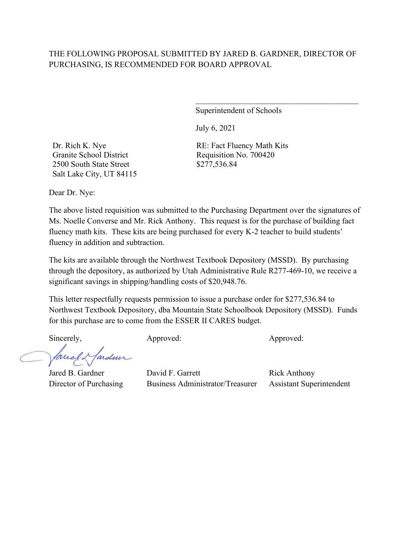# THE FOLLOWING PROPOSAL SUBMITTED BY JARED B. GARDNER, DIRECTOR OF PURCHASING, IS RECOMMENDED FOR BOARD APPROVAL

Superintendent of Schools

 $\mathcal{L}_\mathcal{L}$  , which is a set of the set of the set of the set of the set of the set of the set of the set of the set of the set of the set of the set of the set of the set of the set of the set of the set of the set of

July 6, 2021

Dr. Rich K. Nye Granite School District 2500 South State Street Salt Lake City, UT 84115 RE: Fact Fluency Math Kits Requisition No. 700420 \$277,536.84

Dear Dr. Nye:

The above listed requisition was submitted to the Purchasing Department over the signatures of Ms. Noelle Converse and Mr. Rick Anthony. This request is for the purchase of building fact fluency math kits. These kits are being purchased for every K-2 teacher to build students' fluency in addition and subtraction.

The kits are available through the Northwest Textbook Depository (MSSD). By purchasing through the depository, as authorized by Utah Administrative Rule R277-469-10, we receive a significant savings in shipping/handling costs of \$20,948.76.

This letter respectfully requests permission to issue a purchase order for \$277,536.84 to Northwest Textbook Depository, dba Mountain State Schoolbook Depository (MSSD). Funds for this purchase are to come from the ESSER II CARES budget.

Sincerely, Approved: Approved: Approved: Approved:

ardmir facel

Jared B. Gardner David F. Garrett Rick Anthony Director of Purchasing Business Administrator/Treasurer Assistant Superintendent